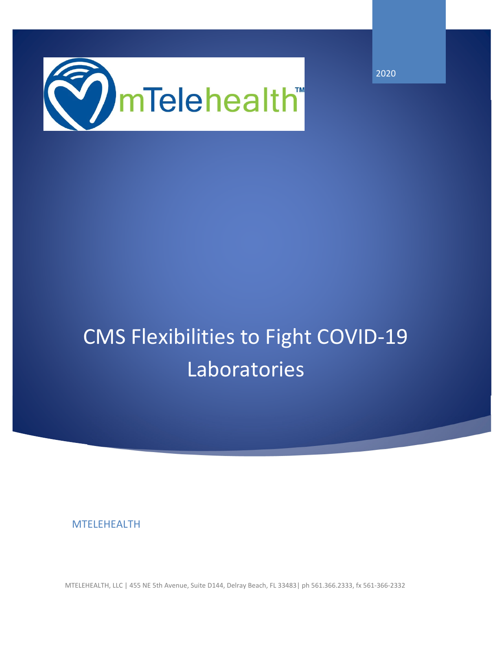

2020

# CMS Flexibilities to Fight COVID‐19 Laboratories

MTELEHEALTH

MTELEHEALTH, LLC | 455 NE 5th Avenue, Suite D144, Delray Beach, FL 33483| ph 561.366.2333, fx 561‐366‐2332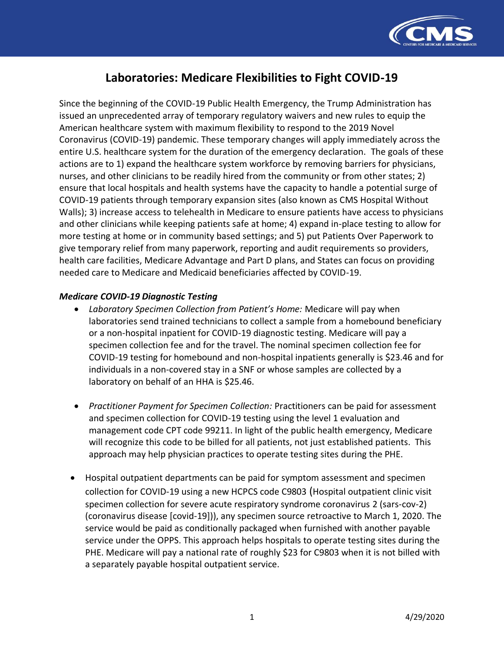

## **Laboratories: Medicare Flexibilities to Fight COVID-19**

Since the beginning of the COVID-19 Public Health Emergency, the Trump Administration has issued an unprecedented array of temporary regulatory waivers and new rules to equip the American healthcare system with maximum flexibility to respond to the 2019 Novel Coronavirus (COVID-19) pandemic. These temporary changes will apply immediately across the entire U.S. healthcare system for the duration of the emergency declaration. The goals of these actions are to 1) expand the healthcare system workforce by removing barriers for physicians, nurses, and other clinicians to be readily hired from the community or from other states; 2) ensure that local hospitals and health systems have the capacity to handle a potential surge of COVID-19 patients through temporary expansion sites (also known as CMS Hospital Without Walls); 3) increase access to telehealth in Medicare to ensure patients have access to physicians and other clinicians while keeping patients safe at home; 4) expand in-place testing to allow for more testing at home or in community based settings; and 5) put Patients Over Paperwork to give temporary relief from many paperwork, reporting and audit requirements so providers, health care facilities, Medicare Advantage and Part D plans, and States can focus on providing needed care to Medicare and Medicaid beneficiaries affected by COVID-19.

#### *Medicare COVID-19 Diagnostic Testing*

- *Laboratory Specimen Collection from Patient's Home:* Medicare will pay when laboratories send trained technicians to collect a sample from a homebound beneficiary or a non-hospital inpatient for COVID-19 diagnostic testing. Medicare will pay a specimen collection fee and for the travel. The nominal specimen collection fee for COVID-19 testing for homebound and non-hospital inpatients generally is \$23.46 and for individuals in a non-covered stay in a SNF or whose samples are collected by a laboratory on behalf of an HHA is \$25.46.
- *Practitioner Payment for Specimen Collection:* Practitioners can be paid for assessment and specimen collection for COVID-19 testing using the level 1 evaluation and management code CPT code 99211. In light of the public health emergency, Medicare will recognize this code to be billed for all patients, not just established patients. This approach may help physician practices to operate testing sites during the PHE.
- Hospital outpatient departments can be paid for symptom assessment and specimen collection for COVID-19 using a new HCPCS code C9803 (Hospital outpatient clinic visit specimen collection for severe acute respiratory syndrome coronavirus 2 (sars-cov-2) (coronavirus disease [covid-19])), any specimen source retroactive to March 1, 2020. The service would be paid as conditionally packaged when furnished with another payable service under the OPPS. This approach helps hospitals to operate testing sites during the PHE. Medicare will pay a national rate of roughly \$23 for C9803 when it is not billed with a separately payable hospital outpatient service.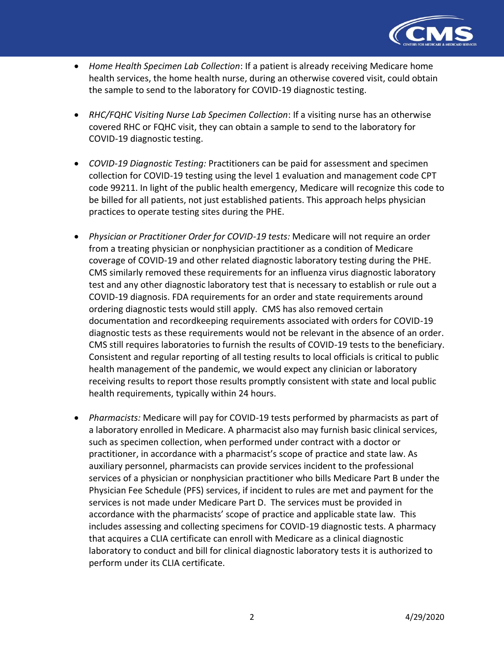

- *Home Health Specimen Lab Collection*: If a patient is already receiving Medicare home health services, the home health nurse, during an otherwise covered visit, could obtain the sample to send to the laboratory for COVID-19 diagnostic testing.
- *RHC/FQHC Visiting Nurse Lab Specimen Collection*: If a visiting nurse has an otherwise covered RHC or FQHC visit, they can obtain a sample to send to the laboratory for COVID-19 diagnostic testing.
- *COVID-19 Diagnostic Testing:* Practitioners can be paid for assessment and specimen collection for COVID-19 testing using the level 1 evaluation and management code CPT code 99211. In light of the public health emergency, Medicare will recognize this code to be billed for all patients, not just established patients. This approach helps physician practices to operate testing sites during the PHE.
- *Physician or Practitioner Order for COVID-19 tests:* Medicare will not require an order from a treating physician or nonphysician practitioner as a condition of Medicare coverage of COVID-19 and other related diagnostic laboratory testing during the PHE. CMS similarly removed these requirements for an influenza virus diagnostic laboratory test and any other diagnostic laboratory test that is necessary to establish or rule out a COVID-19 diagnosis. FDA requirements for an order and state requirements around ordering diagnostic tests would still apply. CMS has also removed certain documentation and recordkeeping requirements associated with orders for COVID-19 diagnostic tests as these requirements would not be relevant in the absence of an order. CMS still requires laboratories to furnish the results of COVID-19 tests to the beneficiary. Consistent and regular reporting of all testing results to local officials is critical to public health management of the pandemic, we would expect any clinician or laboratory receiving results to report those results promptly consistent with state and local public health requirements, typically within 24 hours.
- *Pharmacists:* Medicare will pay for COVID-19 tests performed by pharmacists as part of a laboratory enrolled in Medicare. A pharmacist also may furnish basic clinical services, such as specimen collection, when performed under contract with a doctor or practitioner, in accordance with a pharmacist's scope of practice and state law. As auxiliary personnel, pharmacists can provide services incident to the professional services of a physician or nonphysician practitioner who bills Medicare Part B under the Physician Fee Schedule (PFS) services, if incident to rules are met and payment for the services is not made under Medicare Part D. The services must be provided in accordance with the pharmacists' scope of practice and applicable state law. This includes assessing and collecting specimens for COVID-19 diagnostic tests. A pharmacy that acquires a CLIA certificate can enroll with Medicare as a clinical diagnostic laboratory to conduct and bill for clinical diagnostic laboratory tests it is authorized to perform under its CLIA certificate.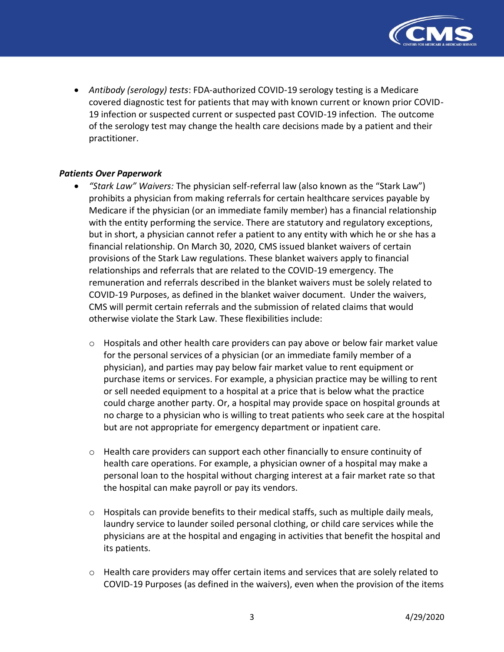

• *Antibody (serology) tests*: FDA-authorized COVID-19 serology testing is a Medicare covered diagnostic test for patients that may with known current or known prior COVID-19 infection or suspected current or suspected past COVID-19 infection. The outcome of the serology test may change the health care decisions made by a patient and their practitioner.

#### *Patients Over Paperwork*

- *"Stark Law" Waivers:* The physician self-referral law (also known as the "Stark Law") prohibits a physician from making referrals for certain healthcare services payable by Medicare if the physician (or an immediate family member) has a financial relationship with the entity performing the service. There are statutory and regulatory exceptions, but in short, a physician cannot refer a patient to any entity with which he or she has a financial relationship. On March 30, 2020, CMS issued blanket waivers of certain provisions of the Stark Law regulations. These blanket waivers apply to financial relationships and referrals that are related to the COVID-19 emergency. The remuneration and referrals described in the blanket waivers must be solely related to COVID-19 Purposes, as defined in the blanket waiver document. Under the waivers, CMS will permit certain referrals and the submission of related claims that would otherwise violate the Stark Law. These flexibilities include:
	- $\circ$  Hospitals and other health care providers can pay above or below fair market value for the personal services of a physician (or an immediate family member of a physician), and parties may pay below fair market value to rent equipment or purchase items or services. For example, a physician practice may be willing to rent or sell needed equipment to a hospital at a price that is below what the practice could charge another party. Or, a hospital may provide space on hospital grounds at no charge to a physician who is willing to treat patients who seek care at the hospital but are not appropriate for emergency department or inpatient care.
	- $\circ$  Health care providers can support each other financially to ensure continuity of health care operations. For example, a physician owner of a hospital may make a personal loan to the hospital without charging interest at a fair market rate so that the hospital can make payroll or pay its vendors.
	- o Hospitals can provide benefits to their medical staffs, such as multiple daily meals, laundry service to launder soiled personal clothing, or child care services while the physicians are at the hospital and engaging in activities that benefit the hospital and its patients.
	- $\circ$  Health care providers may offer certain items and services that are solely related to COVID-19 Purposes (as defined in the waivers), even when the provision of the items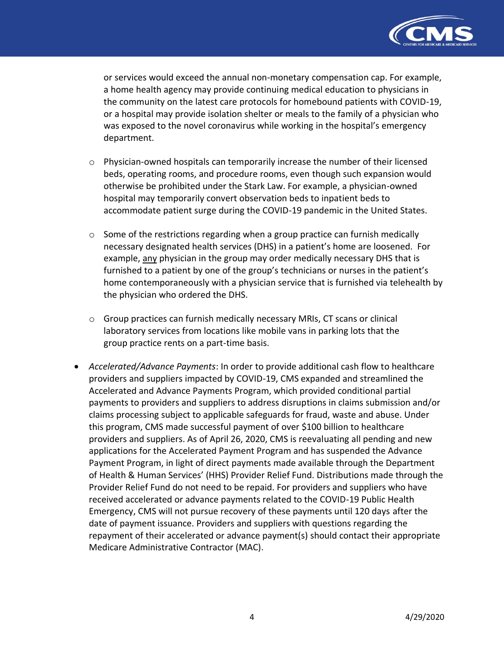

or services would exceed the annual non-monetary compensation cap. For example, a home health agency may provide continuing medical education to physicians in the community on the latest care protocols for homebound patients with COVID-19, or a hospital may provide isolation shelter or meals to the family of a physician who was exposed to the novel coronavirus while working in the hospital's emergency department.

- $\circ$  Physician-owned hospitals can temporarily increase the number of their licensed beds, operating rooms, and procedure rooms, even though such expansion would otherwise be prohibited under the Stark Law. For example, a physician-owned hospital may temporarily convert observation beds to inpatient beds to accommodate patient surge during the COVID-19 pandemic in the United States.
- $\circ$  Some of the restrictions regarding when a group practice can furnish medically necessary designated health services (DHS) in a patient's home are loosened. For example, any physician in the group may order medically necessary DHS that is furnished to a patient by one of the group's technicians or nurses in the patient's home contemporaneously with a physician service that is furnished via telehealth by the physician who ordered the DHS.
- $\circ$  Group practices can furnish medically necessary MRIs, CT scans or clinical laboratory services from locations like mobile vans in parking lots that the group practice rents on a part-time basis.
- *Accelerated/Advance Payments*: In order to provide additional cash flow to healthcare providers and suppliers impacted by COVID-19, CMS expanded and streamlined the Accelerated and Advance Payments Program, which provided conditional partial payments to providers and suppliers to address disruptions in claims submission and/or claims processing subject to applicable safeguards for fraud, waste and abuse. Under this program, CMS made successful payment of over \$100 billion to healthcare providers and suppliers. As of April 26, 2020, CMS is reevaluating all pending and new applications for the Accelerated Payment Program and has suspended the Advance Payment Program, in light of direct payments made available through the Department of Health & Human Services' (HHS) Provider Relief Fund. Distributions made through the Provider Relief Fund do not need to be repaid. For providers and suppliers who have received accelerated or advance payments related to the COVID-19 Public Health Emergency, CMS will not pursue recovery of these payments until 120 days after the date of payment issuance. Providers and suppliers with questions regarding the repayment of their accelerated or advance payment(s) should contact their appropriate Medicare Administrative Contractor (MAC).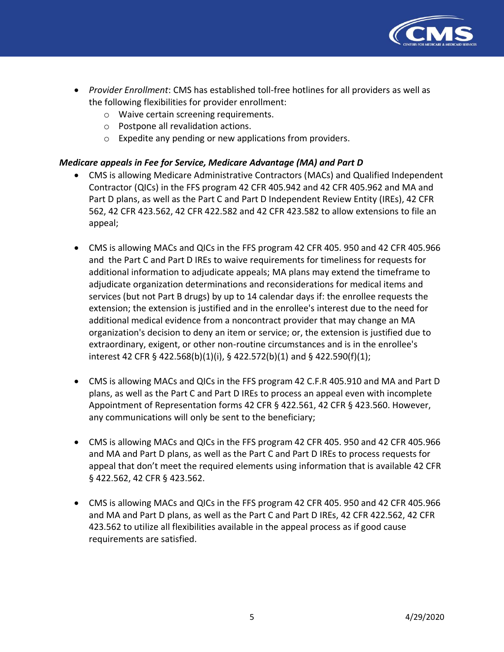

- *Provider Enrollment*: CMS has established toll-free hotlines for all providers as well as the following flexibilities for provider enrollment:
	- o Waive certain screening requirements.
	- o Postpone all revalidation actions.
	- o Expedite any pending or new applications from providers.

### *Medicare appeals in Fee for Service, Medicare Advantage (MA) and Part D*

- CMS is allowing Medicare Administrative Contractors (MACs) and Qualified Independent Contractor (QICs) in the FFS program 42 CFR 405.942 and 42 CFR 405.962 and MA and Part D plans, as well as the Part C and Part D Independent Review Entity (IREs), 42 CFR 562, 42 CFR 423.562, 42 CFR 422.582 and 42 CFR 423.582 to allow extensions to file an appeal;
- CMS is allowing MACs and QICs in the FFS program 42 CFR 405. 950 and 42 CFR 405.966 and the Part C and Part D IREs to waive requirements for timeliness for requests for additional information to adjudicate appeals; MA plans may extend the timeframe to adjudicate organization determinations and reconsiderations for medical items and services (but not Part B drugs) by up to 14 calendar days if: the enrollee requests the extension; the extension is justified and in the enrollee's interest due to the need for additional medical evidence from a noncontract provider that may change an MA organization's decision to deny an item or service; or, the extension is justified due to extraordinary, exigent, or other non-routine circumstances and is in the enrollee's interest 42 CFR § 422.568(b)(1)(i), § 422.572(b)(1) and § 422.590(f)(1);
- CMS is allowing MACs and QICs in the FFS program 42 C.F.R 405.910 and MA and Part D plans, as well as the Part C and Part D IREs to process an appeal even with incomplete Appointment of Representation forms 42 CFR § 422.561, 42 CFR § 423.560. However, any communications will only be sent to the beneficiary;
- CMS is allowing MACs and QICs in the FFS program 42 CFR 405. 950 and 42 CFR 405.966 and MA and Part D plans, as well as the Part C and Part D IREs to process requests for appeal that don't meet the required elements using information that is available 42 CFR § 422.562, 42 CFR § 423.562.
- CMS is allowing MACs and QICs in the FFS program 42 CFR 405. 950 and 42 CFR 405.966 and MA and Part D plans, as well as the Part C and Part D IREs, 42 CFR 422.562, 42 CFR 423.562 to utilize all flexibilities available in the appeal process as if good cause requirements are satisfied.